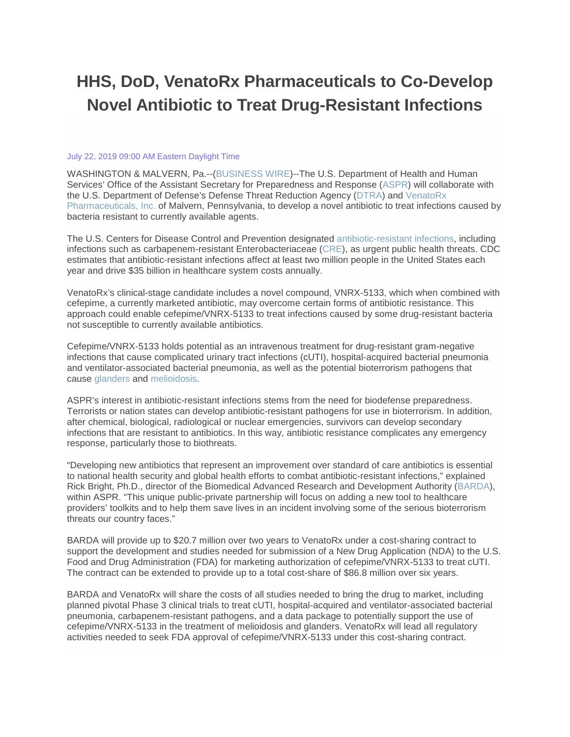# **HHS, DoD, VenatoRx Pharmaceuticals to Co-Develop Novel Antibiotic to Treat Drug-Resistant Infections**

#### July 22, 2019 09:00 AM Eastern Daylight Time

WASHINGTON & MALVERN, Pa.--[\(BUSINESS WIRE\)](https://www.businesswire.com/)--The U.S. Department of Health and Human Services' Office of the Assistant Secretary for Preparedness and Response [\(ASPR\)](https://cts.businesswire.com/ct/CT?id=smartlink&url=https%3A%2F%2Fwww.phe.gov%2Faspr&esheet=52016021&newsitemid=20190722005104&lan=en-US&anchor=ASPR&index=1&md5=d125121de3c89db1fadd44cb421412c9) will collaborate with the U.S. Department of Defense's Defense Threat Reduction Agency [\(DTRA\)](https://cts.businesswire.com/ct/CT?id=smartlink&url=http%3A%2F%2Fwww.dtra.mil%2F&esheet=52016021&newsitemid=20190722005104&lan=en-US&anchor=DTRA&index=2&md5=7c1444155ba998fce156ab7cf90c3f8e) and [VenatoRx](https://cts.businesswire.com/ct/CT?id=smartlink&url=http%3A%2F%2Fwww.venatorx.com&esheet=52016021&newsitemid=20190722005104&lan=en-US&anchor=VenatoRx+Pharmaceuticals%2C+Inc.&index=3&md5=e46fefa0f0a774632ac654a3561f5803)  [Pharmaceuticals, Inc.](https://cts.businesswire.com/ct/CT?id=smartlink&url=http%3A%2F%2Fwww.venatorx.com&esheet=52016021&newsitemid=20190722005104&lan=en-US&anchor=VenatoRx+Pharmaceuticals%2C+Inc.&index=3&md5=e46fefa0f0a774632ac654a3561f5803) of Malvern, Pennsylvania, to develop a novel antibiotic to treat infections caused by bacteria resistant to currently available agents.

The U.S. Centers for Disease Control and Prevention designated [antibiotic-resistant infections,](https://cts.businesswire.com/ct/CT?id=smartlink&url=https%3A%2F%2Fwww.cdc.gov%2Fdrugresistance%2Findex.html&esheet=52016021&newsitemid=20190722005104&lan=en-US&anchor=antibiotic-resistant+infections&index=4&md5=a7d86e7b343159859c39dac3d4596969) including infections such as carbapenem-resistant Enterobacteriaceae [\(CRE\)](https://cts.businesswire.com/ct/CT?id=smartlink&url=https%3A%2F%2Fwww.cdc.gov%2Fhai%2Forganisms%2Fcre%2F&esheet=52016021&newsitemid=20190722005104&lan=en-US&anchor=CRE&index=5&md5=d421807d50278428829fc0435abcbdde), as urgent public health threats. CDC estimates that antibiotic-resistant infections affect at least two million people in the United States each year and drive \$35 billion in healthcare system costs annually.

VenatoRx's clinical-stage candidate includes a novel compound, VNRX-5133, which when combined with cefepime, a currently marketed antibiotic, may overcome certain forms of antibiotic resistance. This approach could enable cefepime/VNRX-5133 to treat infections caused by some drug-resistant bacteria not susceptible to currently available antibiotics.

Cefepime/VNRX-5133 holds potential as an intravenous treatment for drug-resistant gram-negative infections that cause complicated urinary tract infections (cUTI), hospital-acquired bacterial pneumonia and ventilator-associated bacterial pneumonia, as well as the potential bioterrorism pathogens that cause [glanders](https://cts.businesswire.com/ct/CT?id=smartlink&url=https%3A%2F%2Fwww.cdc.gov%2Fglanders%2Findex.html&esheet=52016021&newsitemid=20190722005104&lan=en-US&anchor=glanders&index=6&md5=9690b8f54981fcb231135b190c2d2edf) and [melioidosis.](https://cts.businesswire.com/ct/CT?id=smartlink&url=https%3A%2F%2Fwww.cdc.gov%2Fmelioidosis%2Findex.html&esheet=52016021&newsitemid=20190722005104&lan=en-US&anchor=melioidosis&index=7&md5=6733a161f2770bdca4c05706e38e4c18)

ASPR's interest in antibiotic-resistant infections stems from the need for biodefense preparedness. Terrorists or nation states can develop antibiotic-resistant pathogens for use in bioterrorism. In addition, after chemical, biological, radiological or nuclear emergencies, survivors can develop secondary infections that are resistant to antibiotics. In this way, antibiotic resistance complicates any emergency response, particularly those to biothreats.

"Developing new antibiotics that represent an improvement over standard of care antibiotics is essential to national health security and global health efforts to combat antibiotic-resistant infections," explained Rick Bright, Ph.D., director of the Biomedical Advanced Research and Development Authority [\(BARDA\)](https://cts.businesswire.com/ct/CT?id=smartlink&url=https%3A%2F%2Fwww.phe.gov%2Fbarda&esheet=52016021&newsitemid=20190722005104&lan=en-US&anchor=BARDA&index=8&md5=38fc8ec037e83823aa1162a39804bf34), within ASPR. "This unique public-private partnership will focus on adding a new tool to healthcare providers' toolkits and to help them save lives in an incident involving some of the serious bioterrorism threats our country faces."

BARDA will provide up to \$20.7 million over two years to VenatoRx under a cost-sharing contract to support the development and studies needed for submission of a New Drug Application (NDA) to the U.S. Food and Drug Administration (FDA) for marketing authorization of cefepime/VNRX-5133 to treat cUTI. The contract can be extended to provide up to a total cost-share of \$86.8 million over six years.

BARDA and VenatoRx will share the costs of all studies needed to bring the drug to market, including planned pivotal Phase 3 clinical trials to treat cUTI, hospital-acquired and ventilator-associated bacterial pneumonia, carbapenem-resistant pathogens, and a data package to potentially support the use of cefepime/VNRX-5133 in the treatment of melioidosis and glanders. VenatoRx will lead all regulatory activities needed to seek FDA approval of cefepime/VNRX-5133 under this cost-sharing contract.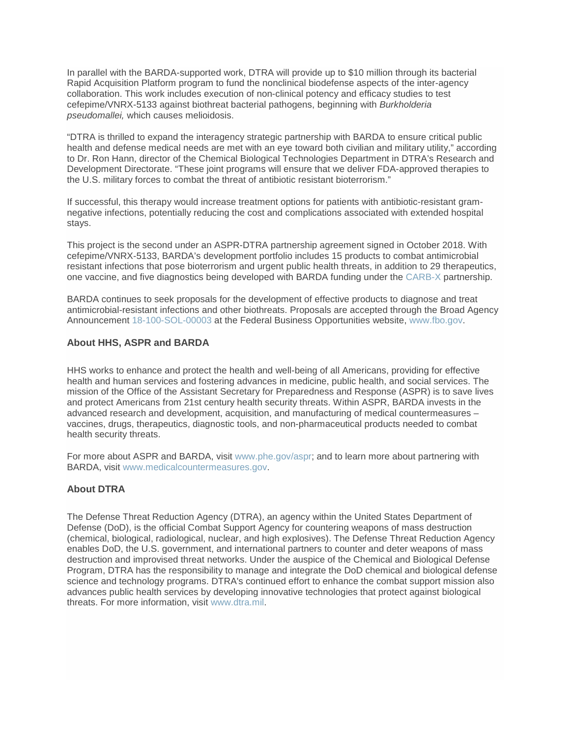In parallel with the BARDA-supported work, DTRA will provide up to \$10 million through its bacterial Rapid Acquisition Platform program to fund the nonclinical biodefense aspects of the inter-agency collaboration. This work includes execution of non-clinical potency and efficacy studies to test cefepime/VNRX-5133 against biothreat bacterial pathogens, beginning with *Burkholderia pseudomallei,* which causes melioidosis.

"DTRA is thrilled to expand the interagency strategic partnership with BARDA to ensure critical public health and defense medical needs are met with an eye toward both civilian and military utility," according to Dr. Ron Hann, director of the Chemical Biological Technologies Department in DTRA's Research and Development Directorate. "These joint programs will ensure that we deliver FDA-approved therapies to the U.S. military forces to combat the threat of antibiotic resistant bioterrorism."

If successful, this therapy would increase treatment options for patients with antibiotic-resistant gramnegative infections, potentially reducing the cost and complications associated with extended hospital stays.

This project is the second under an ASPR-DTRA partnership agreement signed in October 2018. With cefepime/VNRX-5133, BARDA's development portfolio includes 15 products to combat antimicrobial resistant infections that pose bioterrorism and urgent public health threats, in addition to 29 therapeutics, one vaccine, and five diagnostics being developed with BARDA funding under the [CARB-X](https://cts.businesswire.com/ct/CT?id=smartlink&url=https%3A%2F%2Fcarb-x.org%2F&esheet=52016021&newsitemid=20190722005104&lan=en-US&anchor=CARB-X&index=9&md5=ff14b1e19a5e37cb862471963ff4f0c9) partnership.

BARDA continues to seek proposals for the development of effective products to diagnose and treat antimicrobial-resistant infections and other biothreats. Proposals are accepted through the Broad Agency Announcement [18-100-SOL-00003](https://cts.businesswire.com/ct/CT?id=smartlink&url=https%3A%2F%2Fwww.fbo.gov%2Findex.php%3Fs%3Dopportunity%26mode%3Dform%26id%3D417be22f7dad05a9f842352593b77da5%26tab%3Dcore%26_cview%3D1&esheet=52016021&newsitemid=20190722005104&lan=en-US&anchor=18-100-SOL-00003&index=10&md5=07cdbd79100c7ed25b0ceae34daec1f6) at the Federal Business Opportunities website, [www.fbo.gov.](https://cts.businesswire.com/ct/CT?id=smartlink&url=https%3A%2F%2Fwww.fbo.gov%2Findex%3Fs%3Dopportunity%26mode%3Dform%26id%3D5e39c8f4430e3eda55a16a66df229c2f%26tab%3Dcore%26_cview%3D1&esheet=52016021&newsitemid=20190722005104&lan=en-US&anchor=www.fbo.gov&index=11&md5=5e5d01dee27b38e0a7080189bfe26449)

#### **About HHS, ASPR and BARDA**

HHS works to enhance and protect the health and well-being of all Americans, providing for effective health and human services and fostering advances in medicine, public health, and social services. The mission of the Office of the Assistant Secretary for Preparedness and Response (ASPR) is to save lives and protect Americans from 21st century health security threats. Within ASPR, BARDA invests in the advanced research and development, acquisition, and manufacturing of medical countermeasures – vaccines, drugs, therapeutics, diagnostic tools, and non-pharmaceutical products needed to combat health security threats.

For more about ASPR and BARDA, visit [www.phe.gov/aspr;](https://cts.businesswire.com/ct/CT?id=smartlink&url=http%3A%2F%2Fwww.phe.gov%2Faspr&esheet=52016021&newsitemid=20190722005104&lan=en-US&anchor=www.phe.gov%2Faspr&index=12&md5=1c769bbef2af0369b31ad9685e758e1a) and to learn more about partnering with BARDA, visit [www.medicalcountermeasures.gov.](https://cts.businesswire.com/ct/CT?id=smartlink&url=http%3A%2F%2Fwww.medicalcountermeasures.gov&esheet=52016021&newsitemid=20190722005104&lan=en-US&anchor=www.medicalcountermeasures.gov&index=13&md5=7880d33bdea5f1776496c9a4f9e315b2)

### **About DTRA**

The Defense Threat Reduction Agency (DTRA), an agency within the United States Department of Defense (DoD), is the official Combat Support Agency for countering weapons of mass destruction (chemical, biological, radiological, nuclear, and high explosives). The Defense Threat Reduction Agency enables DoD, the U.S. government, and international partners to counter and deter weapons of mass destruction and improvised threat networks. Under the auspice of the Chemical and Biological Defense Program, DTRA has the responsibility to manage and integrate the DoD chemical and biological defense science and technology programs. DTRA's continued effort to enhance the combat support mission also advances public health services by developing innovative technologies that protect against biological threats. For more information, visit [www.dtra.mil.](https://cts.businesswire.com/ct/CT?id=smartlink&url=http%3A%2F%2Fwww.dtra.mil&esheet=52016021&newsitemid=20190722005104&lan=en-US&anchor=www.dtra.mil&index=14&md5=44423804bfe03d1efc275e21f9114e73)